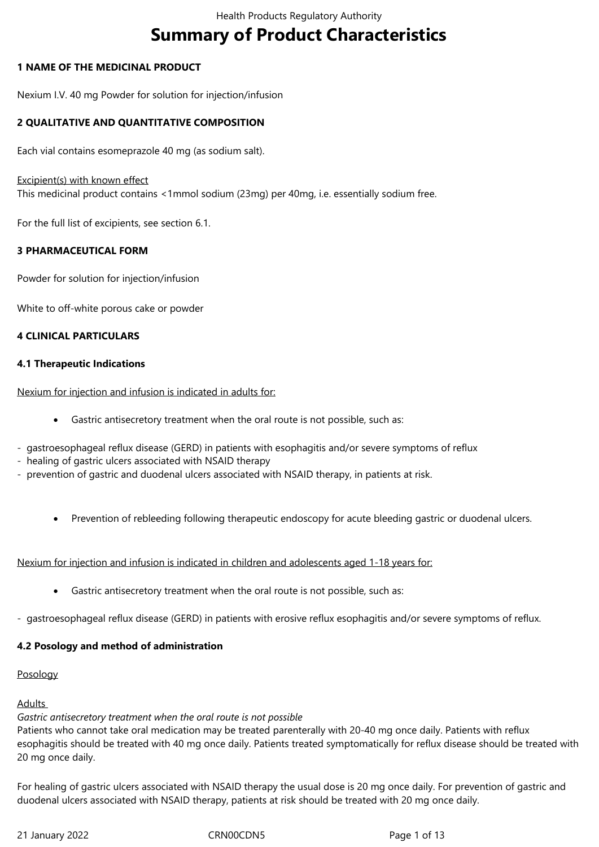# **Summary of Product Characteristics**

# **1 NAME OF THE MEDICINAL PRODUCT**

Nexium I.V. 40 mg Powder for solution for injection/infusion

# **2 QUALITATIVE AND QUANTITATIVE COMPOSITION**

Each vial contains esomeprazole 40 mg (as sodium salt).

## Excipient(s) with known effect

This medicinal product contains <1mmol sodium (23mg) per 40mg, i.e. essentially sodium free.

For the full list of excipients, see section 6.1.

# **3 PHARMACEUTICAL FORM**

Powder for solution for injection/infusion

White to off-white porous cake or powder

# **4 CLINICAL PARTICULARS**

# **4.1 Therapeutic Indications**

Nexium for injection and infusion is indicated in adults for:

- Gastric antisecretory treatment when the oral route is not possible, such as:
- gastroesophageal reflux disease (GERD) in patients with esophagitis and/or severe symptoms of reflux
- healing of gastric ulcers associated with NSAID therapy
- prevention of gastric and duodenal ulcers associated with NSAID therapy, in patients at risk.
	- Prevention of rebleeding following therapeutic endoscopy for acute bleeding gastric or duodenal ulcers.

Nexium for injection and infusion is indicated in children and adolescents aged 1-18 years for:

- Gastric antisecretory treatment when the oral route is not possible, such as:
- gastroesophageal reflux disease (GERD) in patients with erosive reflux esophagitis and/or severe symptoms of reflux.

# **4.2 Posology and method of administration**

#### Posology

# Adults

# *Gastric antisecretory treatment when the oral route is not possible*

Patients who cannot take oral medication may be treated parenterally with 20-40 mg once daily. Patients with reflux esophagitis should be treated with 40 mg once daily. Patients treated symptomatically for reflux disease should be treated with 20 mg once daily.

For healing of gastric ulcers associated with NSAID therapy the usual dose is 20 mg once daily. For prevention of gastric and duodenal ulcers associated with NSAID therapy, patients at risk should be treated with 20 mg once daily.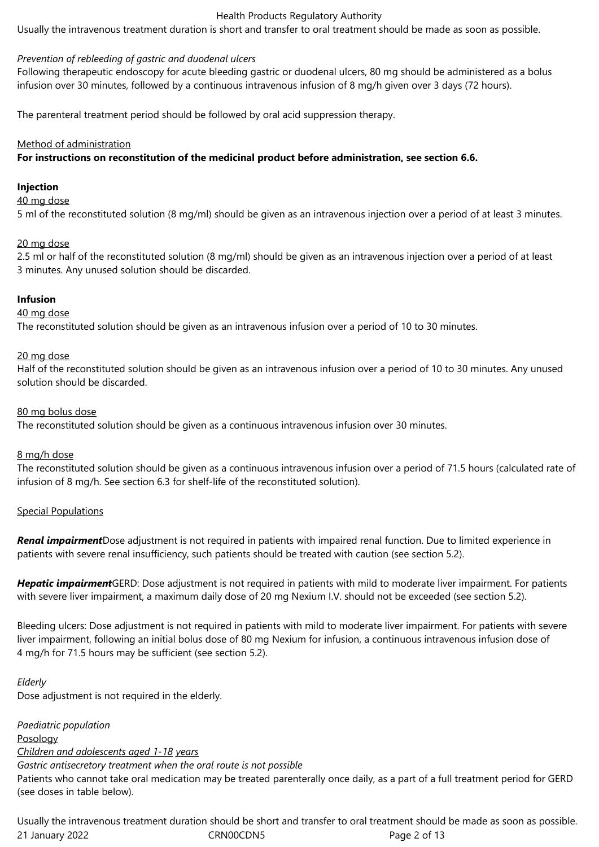Usually the intravenous treatment duration is short and transfer to oral treatment should be made as soon as possible.

# *Prevention of rebleeding of gastric and duodenal ulcers*

Following therapeutic endoscopy for acute bleeding gastric or duodenal ulcers, 80 mg should be administered as a bolus infusion over 30 minutes, followed by a continuous intravenous infusion of 8 mg/h given over 3 days (72 hours).

The parenteral treatment period should be followed by oral acid suppression therapy.

## Method of administration

**For instructions on reconstitution of the medicinal product before administration, see section 6.6.**

## **Injection**

40 mg dose

5 ml of the reconstituted solution (8 mg/ml) should be given as an intravenous injection over a period of at least 3 minutes.

# 20 mg dose

2.5 ml or half of the reconstituted solution (8 mg/ml) should be given as an intravenous injection over a period of at least 3 minutes. Any unused solution should be discarded.

# **Infusion**

#### 40 mg dose

The reconstituted solution should be given as an intravenous infusion over a period of 10 to 30 minutes.

#### 20 mg dose

Half of the reconstituted solution should be given as an intravenous infusion over a period of 10 to 30 minutes. Any unused solution should be discarded.

# 80 mg bolus dose

The reconstituted solution should be given as a continuous intravenous infusion over 30 minutes.

#### 8 mg/h dose

The reconstituted solution should be given as a continuous intravenous infusion over a period of 71.5 hours (calculated rate of infusion of 8 mg/h. See section 6.3 for shelf-life of the reconstituted solution).

# Special Populations

*Renal impairment*Dose adjustment is not required in patients with impaired renal function. Due to limited experience in patients with severe renal insufficiency, such patients should be treated with caution (see section 5.2).

*Hepatic impairment*GERD: Dose adjustment is not required in patients with mild to moderate liver impairment. For patients with severe liver impairment, a maximum daily dose of 20 mg Nexium I.V. should not be exceeded (see section 5.2).

Bleeding ulcers: Dose adjustment is not required in patients with mild to moderate liver impairment. For patients with severe liver impairment, following an initial bolus dose of 80 mg Nexium for infusion, a continuous intravenous infusion dose of 4 mg/h for 71.5 hours may be sufficient (see section 5.2).

#### *Elderly*

Dose adjustment is not required in the elderly.

*Paediatric population* Posology *Children and adolescents aged 1-18 years Gastric antisecretory treatment when the oral route is not possible*  Patients who cannot take oral medication may be treated parenterally once daily, as a part of a full treatment period for GERD (see doses in table below).

21 January 2022 CRN00CDN5 Page 2 of 13 Usually the intravenous treatment duration should be short and transfer to oral treatment should be made as soon as possible.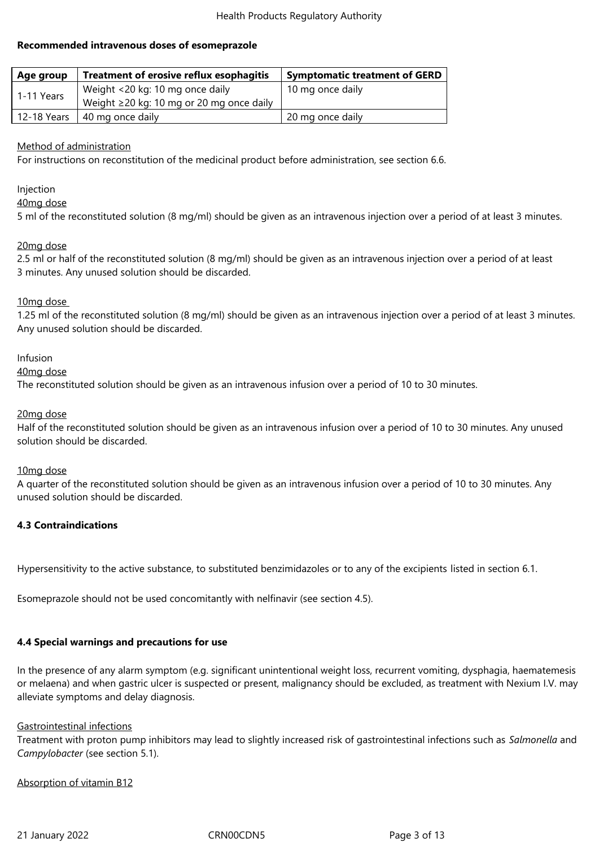# **Recommended intravenous doses of esomeprazole**

| <b>Treatment of erosive reflux esophagitis</b><br>Age group |                                                | <b>Symptomatic treatment of GERD</b> |
|-------------------------------------------------------------|------------------------------------------------|--------------------------------------|
| 1-11 Years                                                  | Weight <20 kg: 10 mg once daily                | 10 mg once daily                     |
|                                                             | Weight $\geq$ 20 kg: 10 mg or 20 mg once daily |                                      |
| 12-18 Years                                                 | 40 mg once daily                               | 20 mg once daily                     |

# Method of administration

For instructions on reconstitution of the medicinal product before administration, see section 6.6.

Injection

40mg dose

5 ml of the reconstituted solution (8 mg/ml) should be given as an intravenous injection over a period of at least 3 minutes.

#### 20mg dose

2.5 ml or half of the reconstituted solution (8 mg/ml) should be given as an intravenous injection over a period of at least 3 minutes. Any unused solution should be discarded.

# 10mg dose

1.25 ml of the reconstituted solution (8 mg/ml) should be given as an intravenous injection over a period of at least 3 minutes. Any unused solution should be discarded.

#### Infusion

40mg dose

The reconstituted solution should be given as an intravenous infusion over a period of 10 to 30 minutes.

# 20mg dose

Half of the reconstituted solution should be given as an intravenous infusion over a period of 10 to 30 minutes. Any unused solution should be discarded.

#### 10mg dose

A quarter of the reconstituted solution should be given as an intravenous infusion over a period of 10 to 30 minutes. Any unused solution should be discarded.

# **4.3 Contraindications**

Hypersensitivity to the active substance, to substituted benzimidazoles or to any of the excipients listed in section 6.1.

Esomeprazole should not be used concomitantly with nelfinavir (see section 4.5).

#### **4.4 Special warnings and precautions for use**

In the presence of any alarm symptom (e.g. significant unintentional weight loss, recurrent vomiting, dysphagia, haematemesis or melaena) and when gastric ulcer is suspected or present, malignancy should be excluded, as treatment with Nexium I.V. may alleviate symptoms and delay diagnosis.

#### Gastrointestinal infections

Treatment with proton pump inhibitors may lead to slightly increased risk of gastrointestinal infections such as *Salmonella* and *Campylobacter* (see section 5.1).

# Absorption of vitamin B12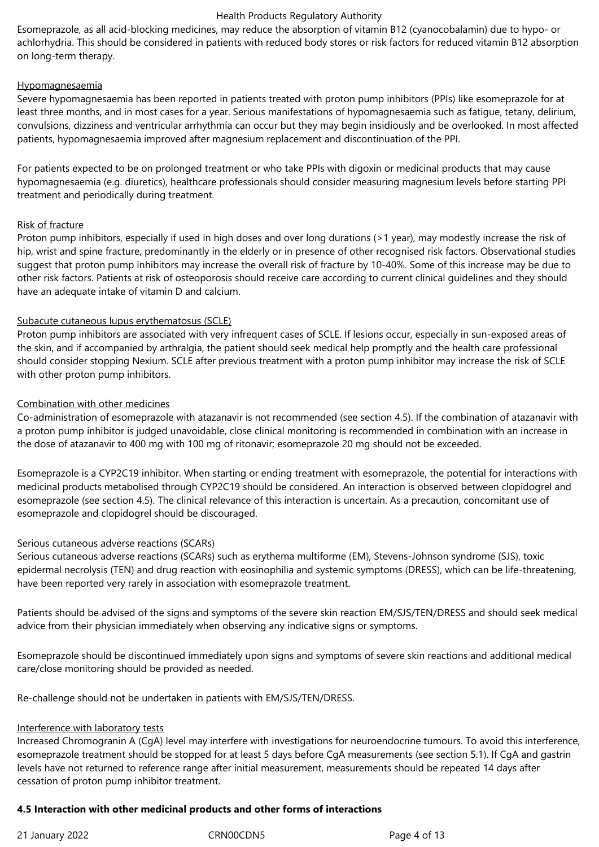Esomeprazole, as all acid-blocking medicines, may reduce the absorption of vitamin B12 (cyanocobalamin) due to hypo- or achlorhydria. This should be considered in patients with reduced body stores or risk factors for reduced vitamin B12 absorption on long‑term therapy.

# Hypomagnesaemia

Severe hypomagnesaemia has been reported in patients treated with proton pump inhibitors (PPIs) like esomeprazole for at least three months, and in most cases for a year. Serious manifestations of hypomagnesaemia such as fatigue, tetany, delirium, convulsions, dizziness and ventricular arrhythmia can occur but they may begin insidiously and be overlooked. In most affected patients, hypomagnesaemia improved after magnesium replacement and discontinuation of the PPI.

For patients expected to be on prolonged treatment or who take PPIs with digoxin or medicinal products that may cause hypomagnesaemia (e.g. diuretics), healthcare professionals should consider measuring magnesium levels before starting PPI treatment and periodically during treatment.

# Risk of fracture

Proton pump inhibitors, especially if used in high doses and over long durations (>1 year), may modestly increase the risk of hip, wrist and spine fracture, predominantly in the elderly or in presence of other recognised risk factors. Observational studies suggest that proton pump inhibitors may increase the overall risk of fracture by 10‑40%. Some of this increase may be due to other risk factors. Patients at risk of osteoporosis should receive care according to current clinical guidelines and they should have an adequate intake of vitamin D and calcium.

# Subacute cutaneous lupus erythematosus (SCLE)

Proton pump inhibitors are associated with very infrequent cases of SCLE. If lesions occur, especially in sun-exposed areas of the skin, and if accompanied by arthralgia, the patient should seek medical help promptly and the health care professional should consider stopping Nexium. SCLE after previous treatment with a proton pump inhibitor may increase the risk of SCLE with other proton pump inhibitors.

# Combination with other medicines

Co-administration of esomeprazole with atazanavir is not recommended (see section 4.5). If the combination of atazanavir with a proton pump inhibitor is judged unavoidable, close clinical monitoring is recommended in combination with an increase in the dose of atazanavir to 400 mg with 100 mg of ritonavir; esomeprazole 20 mg should not be exceeded.

Esomeprazole is a CYP2C19 inhibitor. When starting or ending treatment with esomeprazole, the potential for interactions with medicinal products metabolised through CYP2C19 should be considered. An interaction is observed between clopidogrel and esomeprazole (see section 4.5). The clinical relevance of this interaction is uncertain. As a precaution, concomitant use of esomeprazole and clopidogrel should be discouraged.

# Serious cutaneous adverse reactions (SCARs)

Serious cutaneous adverse reactions (SCARs) such as erythema multiforme (EM), Stevens-Johnson syndrome (SJS), toxic epidermal necrolysis (TEN) and drug reaction with eosinophilia and systemic symptoms (DRESS), which can be life-threatening, have been reported very rarely in association with esomeprazole treatment.

Patients should be advised of the signs and symptoms of the severe skin reaction EM/SJS/TEN/DRESS and should seek medical advice from their physician immediately when observing any indicative signs or symptoms.

Esomeprazole should be discontinued immediately upon signs and symptoms of severe skin reactions and additional medical care/close monitoring should be provided as needed.

Re-challenge should not be undertaken in patients with EM/SJS/TEN/DRESS.

#### Interference with laboratory tests

Increased Chromogranin A (CgA) level may interfere with investigations for neuroendocrine tumours. To avoid this interference, esomeprazole treatment should be stopped for at least 5 days before CgA measurements (see section 5.1). If CgA and gastrin levels have not returned to reference range after initial measurement, measurements should be repeated 14 days after cessation of proton pump inhibitor treatment.

# **4.5 Interaction with other medicinal products and other forms of interactions**

# 21 January 2022 CRN00CDN5 Page 4 of 13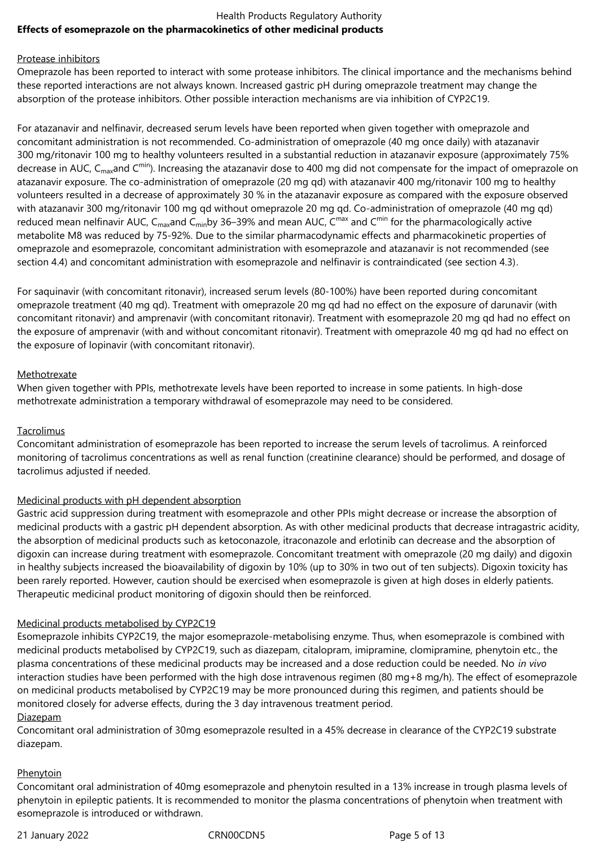# Health Products Regulatory Authority **Effects of esomeprazole on the pharmacokinetics of other medicinal products**

## Protease inhibitors

Omeprazole has been reported to interact with some protease inhibitors. The clinical importance and the mechanisms behind these reported interactions are not always known. Increased gastric pH during omeprazole treatment may change the absorption of the protease inhibitors. Other possible interaction mechanisms are via inhibition of CYP2C19.

For atazanavir and nelfinavir, decreased serum levels have been reported when given together with omeprazole and concomitant administration is not recommended. Co-administration of omeprazole (40 mg once daily) with atazanavir 300 mg/ritonavir 100 mg to healthy volunteers resulted in a substantial reduction in atazanavir exposure (approximately 75% decrease in AUC, C<sub>max</sub>and C<sup>min</sup>). Increasing the atazanavir dose to 400 mg did not compensate for the impact of omeprazole on atazanavir exposure. The co-administration of omeprazole (20 mg qd) with atazanavir 400 mg/ritonavir 100 mg to healthy volunteers resulted in a decrease of approximately 30 % in the atazanavir exposure as compared with the exposure observed with atazanavir 300 mg/ritonavir 100 mg qd without omeprazole 20 mg qd. Co-administration of omeprazole (40 mg qd) reduced mean nelfinavir AUC,  $C_{max}$ and  $C_{min}$ by 36–39% and mean AUC,  $C^{max}$  and  $C^{min}$  for the pharmacologically active metabolite M8 was reduced by 75-92%. Due to the similar pharmacodynamic effects and pharmacokinetic properties of omeprazole and esomeprazole, concomitant administration with esomeprazole and atazanavir is not recommended (see section 4.4) and concomitant administration with esomeprazole and nelfinavir is contraindicated (see section 4.3).

For saquinavir (with concomitant ritonavir), increased serum levels (80-100%) have been reported during concomitant omeprazole treatment (40 mg qd). Treatment with omeprazole 20 mg qd had no effect on the exposure of darunavir (with concomitant ritonavir) and amprenavir (with concomitant ritonavir). Treatment with esomeprazole 20 mg qd had no effect on the exposure of amprenavir (with and without concomitant ritonavir). Treatment with omeprazole 40 mg qd had no effect on the exposure of lopinavir (with concomitant ritonavir).

# Methotrexate

When given together with PPIs, methotrexate levels have been reported to increase in some patients. In high-dose methotrexate administration a temporary withdrawal of esomeprazole may need to be considered.

# Tacrolimus

Concomitant administration of esomeprazole has been reported to increase the serum levels of tacrolimus. A reinforced monitoring of tacrolimus concentrations as well as renal function (creatinine clearance) should be performed, and dosage of tacrolimus adjusted if needed.

# Medicinal products with pH dependent absorption

Gastric acid suppression during treatment with esomeprazole and other PPIs might decrease or increase the absorption of medicinal products with a gastric pH dependent absorption. As with other medicinal products that decrease intragastric acidity, the absorption of medicinal products such as ketoconazole, itraconazole and erlotinib can decrease and the absorption of digoxin can increase during treatment with esomeprazole. Concomitant treatment with omeprazole (20 mg daily) and digoxin in healthy subjects increased the bioavailability of digoxin by 10% (up to 30% in two out of ten subjects). Digoxin toxicity has been rarely reported. However, caution should be exercised when esomeprazole is given at high doses in elderly patients. Therapeutic medicinal product monitoring of digoxin should then be reinforced.

# Medicinal products metabolised by CYP2C19

Esomeprazole inhibits CYP2C19, the major esomeprazole-metabolising enzyme. Thus, when esomeprazole is combined with medicinal products metabolised by CYP2C19, such as diazepam, citalopram, imipramine, clomipramine, phenytoin etc., the plasma concentrations of these medicinal products may be increased and a dose reduction could be needed. No *in vivo* interaction studies have been performed with the high dose intravenous regimen (80 mg+8 mg/h). The effect of esomeprazole on medicinal products metabolised by CYP2C19 may be more pronounced during this regimen, and patients should be monitored closely for adverse effects, during the 3 day intravenous treatment period.

#### Diazepam

Concomitant oral administration of 30mg esomeprazole resulted in a 45% decrease in clearance of the CYP2C19 substrate diazepam.

# **Phenytoin**

Concomitant oral administration of 40mg esomeprazole and phenytoin resulted in a 13% increase in trough plasma levels of phenytoin in epileptic patients. It is recommended to monitor the plasma concentrations of phenytoin when treatment with esomeprazole is introduced or withdrawn.

21 January 2022 CRN00CDN5 Page 5 of 13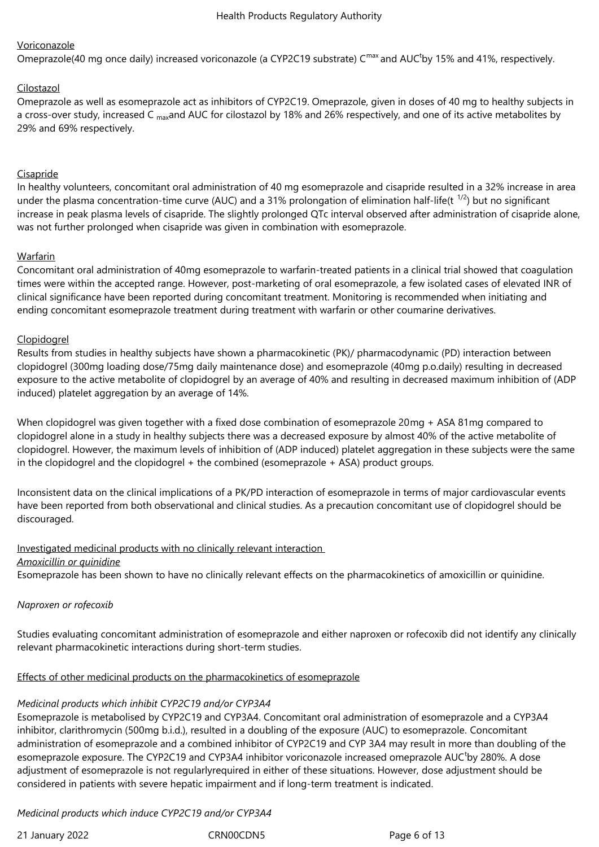# Voriconazole

Omeprazole(40 mg once daily) increased voriconazole (a CYP2C19 substrate) C<sup>max</sup> and AUC<sup>t</sup>by 15% and 41%, respectively.

# Cilostazol

Omeprazole as well as esomeprazole act as inhibitors of CYP2C19. Omeprazole, given in doses of 40 mg to healthy subjects in a cross-over study, increased C <sub>max</sub>and AUC for cilostazol by 18% and 26% respectively, and one of its active metabolites by 29% and 69% respectively.

# Cisapride

In healthy volunteers, concomitant oral administration of 40 mg esomeprazole and cisapride resulted in a 32% increase in area under the plasma concentration-time curve (AUC) and a 31% prolongation of elimination half-life(t  $^{1/2}$ ) but no significant increase in peak plasma levels of cisapride. The slightly prolonged QTc interval observed after administration of cisapride alone, was not further prolonged when cisapride was given in combination with esomeprazole.

# Warfarin

Concomitant oral administration of 40mg esomeprazole to warfarin-treated patients in a clinical trial showed that coagulation times were within the accepted range. However, post-marketing of oral esomeprazole, a few isolated cases of elevated INR of clinical significance have been reported during concomitant treatment. Monitoring is recommended when initiating and ending concomitant esomeprazole treatment during treatment with warfarin or other coumarine derivatives.

# Clopidogrel

Results from studies in healthy subjects have shown a pharmacokinetic (PK)/ pharmacodynamic (PD) interaction between clopidogrel (300mg loading dose/75mg daily maintenance dose) and esomeprazole (40mg p.o.daily) resulting in decreased exposure to the active metabolite of clopidogrel by an average of 40% and resulting in decreased maximum inhibition of (ADP induced) platelet aggregation by an average of 14%.

When clopidogrel was given together with a fixed dose combination of esomeprazole 20mg + ASA 81mg compared to clopidogrel alone in a study in healthy subjects there was a decreased exposure by almost 40% of the active metabolite of clopidogrel. However, the maximum levels of inhibition of (ADP induced) platelet aggregation in these subjects were the same in the clopidogrel and the clopidogrel + the combined (esomeprazole + ASA) product groups.

Inconsistent data on the clinical implications of a PK/PD interaction of esomeprazole in terms of major cardiovascular events have been reported from both observational and clinical studies. As a precaution concomitant use of clopidogrel should be discouraged.

#### Investigated medicinal products with no clinically relevant interaction

#### *Amoxicillin or quinidine*

Esomeprazole has been shown to have no clinically relevant effects on the pharmacokinetics of amoxicillin or quinidine.

#### *Naproxen or rofecoxib*

Studies evaluating concomitant administration of esomeprazole and either naproxen or rofecoxib did not identify any clinically relevant pharmacokinetic interactions during short-term studies.

#### Effects of other medicinal products on the pharmacokinetics of esomeprazole

#### *Medicinal products which inhibit CYP2C19 and/or CYP3A4*

Esomeprazole is metabolised by CYP2C19 and CYP3A4. Concomitant oral administration of esomeprazole and a CYP3A4 inhibitor, clarithromycin (500mg b.i.d.), resulted in a doubling of the exposure (AUC) to esomeprazole. Concomitant administration of esomeprazole and a combined inhibitor of CYP2C19 and CYP 3A4 may result in more than doubling of the esomeprazole exposure. The CYP2C19 and CYP3A4 inhibitor voriconazole increased omeprazole AUC<sup>t</sup>by 280%. A dose adjustment of esomeprazole is not regularlyrequired in either of these situations. However, dose adjustment should be considered in patients with severe hepatic impairment and if long-term treatment is indicated.

# *Medicinal products which induce CYP2C19 and/or CYP3A4*

21 January 2022 CRN00CDN5 Page 6 of 13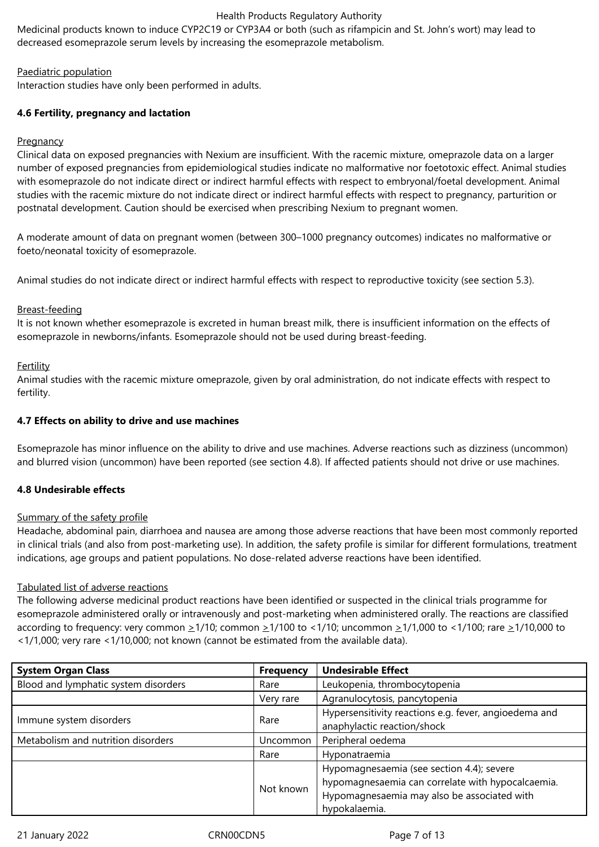Medicinal products known to induce CYP2C19 or CYP3A4 or both (such as rifampicin and St. John's wort) may lead to decreased esomeprazole serum levels by increasing the esomeprazole metabolism.

# Paediatric population

Interaction studies have only been performed in adults.

# **4.6 Fertility, pregnancy and lactation**

## **Pregnancy**

Clinical data on exposed pregnancies with Nexium are insufficient. With the racemic mixture, omeprazole data on a larger number of exposed pregnancies from epidemiological studies indicate no malformative nor foetotoxic effect. Animal studies with esomeprazole do not indicate direct or indirect harmful effects with respect to embryonal/foetal development. Animal studies with the racemic mixture do not indicate direct or indirect harmful effects with respect to pregnancy, parturition or postnatal development. Caution should be exercised when prescribing Nexium to pregnant women.

A moderate amount of data on pregnant women (between 300–1000 pregnancy outcomes) indicates no malformative or foeto/neonatal toxicity of esomeprazole.

Animal studies do not indicate direct or indirect harmful effects with respect to reproductive toxicity (see section 5.3).

# Breast-feeding

It is not known whether esomeprazole is excreted in human breast milk, there is insufficient information on the effects of esomeprazole in newborns/infants. Esomeprazole should not be used during breast-feeding.

# **Fertility**

Animal studies with the racemic mixture omeprazole, given by oral administration, do not indicate effects with respect to fertility.

# **4.7 Effects on ability to drive and use machines**

Esomeprazole has minor influence on the ability to drive and use machines. Adverse reactions such as dizziness (uncommon) and blurred vision (uncommon) have been reported (see section 4.8). If affected patients should not drive or use machines.

# **4.8 Undesirable effects**

#### Summary of the safety profile

Headache, abdominal pain, diarrhoea and nausea are among those adverse reactions that have been most commonly reported in clinical trials (and also from post-marketing use). In addition, the safety profile is similar for different formulations, treatment indications, age groups and patient populations. No dose-related adverse reactions have been identified.

# Tabulated list of adverse reactions

The following adverse medicinal product reactions have been identified or suspected in the clinical trials programme for esomeprazole administered orally or intravenously and post-marketing when administered orally. The reactions are classified according to frequency: very common  $\geq 1/10$ ; common  $\geq 1/100$  to <1/10; uncommon  $\geq 1/1,000$  to <1/100; rare  $\geq 1/10,000$  to <1/1,000; very rare <1/10,000; not known (cannot be estimated from the available data).

| <b>System Organ Class</b>                      | <b>Frequency</b> | <b>Undesirable Effect</b>                                                                                                                                      |  |
|------------------------------------------------|------------------|----------------------------------------------------------------------------------------------------------------------------------------------------------------|--|
| Blood and lymphatic system disorders           | Rare             | Leukopenia, thrombocytopenia                                                                                                                                   |  |
|                                                | Very rare        | Agranulocytosis, pancytopenia                                                                                                                                  |  |
| Immune system disorders                        | Rare             | Hypersensitivity reactions e.g. fever, angioedema and<br>anaphylactic reaction/shock                                                                           |  |
| Metabolism and nutrition disorders<br>Uncommon |                  | Peripheral oedema                                                                                                                                              |  |
|                                                | Rare             | Hyponatraemia                                                                                                                                                  |  |
|                                                | Not known        | Hypomagnesaemia (see section 4.4); severe<br>hypomagnesaemia can correlate with hypocalcaemia.<br>Hypomagnesaemia may also be associated with<br>hypokalaemia. |  |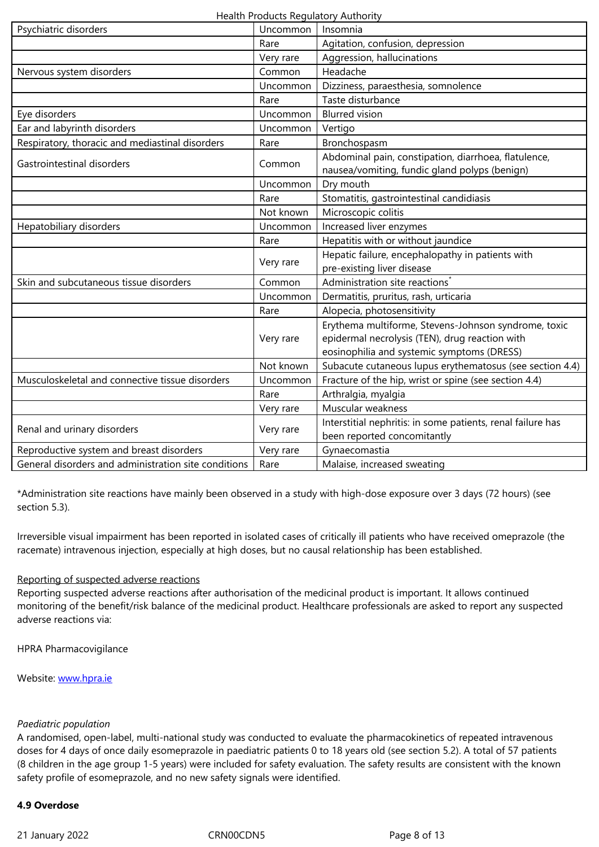|                                                              | Very rare | Aggression, hallucinations                                                                            |  |
|--------------------------------------------------------------|-----------|-------------------------------------------------------------------------------------------------------|--|
| Nervous system disorders                                     | Common    | Headache                                                                                              |  |
|                                                              | Uncommon  | Dizziness, paraesthesia, somnolence                                                                   |  |
|                                                              | Rare      | Taste disturbance                                                                                     |  |
| Eye disorders                                                | Uncommon  | <b>Blurred vision</b>                                                                                 |  |
| Ear and labyrinth disorders                                  | Uncommon  | Vertigo                                                                                               |  |
| Respiratory, thoracic and mediastinal disorders              | Rare      | Bronchospasm                                                                                          |  |
| Gastrointestinal disorders                                   | Common    | Abdominal pain, constipation, diarrhoea, flatulence,<br>nausea/vomiting, fundic gland polyps (benign) |  |
|                                                              | Uncommon  | Dry mouth                                                                                             |  |
|                                                              | Rare      | Stomatitis, gastrointestinal candidiasis                                                              |  |
|                                                              | Not known | Microscopic colitis                                                                                   |  |
| Hepatobiliary disorders                                      | Uncommon  | Increased liver enzymes                                                                               |  |
|                                                              | Rare      | Hepatitis with or without jaundice                                                                    |  |
|                                                              |           | Hepatic failure, encephalopathy in patients with                                                      |  |
|                                                              | Very rare | pre-existing liver disease                                                                            |  |
| Skin and subcutaneous tissue disorders                       | Common    | Administration site reactions'                                                                        |  |
|                                                              | Uncommon  | Dermatitis, pruritus, rash, urticaria                                                                 |  |
|                                                              | Rare      | Alopecia, photosensitivity                                                                            |  |
|                                                              |           | Erythema multiforme, Stevens-Johnson syndrome, toxic                                                  |  |
|                                                              | Very rare | epidermal necrolysis (TEN), drug reaction with                                                        |  |
|                                                              |           | eosinophilia and systemic symptoms (DRESS)                                                            |  |
|                                                              | Not known | Subacute cutaneous lupus erythematosus (see section 4.4)                                              |  |
| Musculoskeletal and connective tissue disorders              | Uncommon  | Fracture of the hip, wrist or spine (see section 4.4)                                                 |  |
|                                                              | Rare      | Arthralgia, myalgia                                                                                   |  |
|                                                              | Very rare | Muscular weakness                                                                                     |  |
| Renal and urinary disorders                                  | Very rare | Interstitial nephritis: in some patients, renal failure has                                           |  |
|                                                              |           | been reported concomitantly                                                                           |  |
| Reproductive system and breast disorders                     | Very rare | Gynaecomastia                                                                                         |  |
| General disorders and administration site conditions<br>Rare |           | Malaise, increased sweating                                                                           |  |

\*Administration site reactions have mainly been observed in a study with high-dose exposure over 3 days (72 hours) (see section 5.3).

Irreversible visual impairment has been reported in isolated cases of critically ill patients who have received omeprazole (the racemate) intravenous injection, especially at high doses, but no causal relationship has been established.

# Reporting of suspected adverse reactions

Reporting suspected adverse reactions after authorisation of the medicinal product is important. It allows continued monitoring of the benefit/risk balance of the medicinal product. Healthcare professionals are asked to report any suspected adverse reactions via:

HPRA Pharmacovigilance

Website: www.hpra.ie

# *Paediatri[c population](http://www.hpra.ie/)*

A randomised, open-label, multi-national study was conducted to evaluate the pharmacokinetics of repeated intravenous doses for 4 days of once daily esomeprazole in paediatric patients 0 to 18 years old (see section 5.2). A total of 57 patients (8 children in the age group 1-5 years) were included for safety evaluation. The safety results are consistent with the known safety profile of esomeprazole, and no new safety signals were identified.

# **4.9 Overdose**

21 January 2022 CRN00CDN5 CRNO0CDN5 Page 8 of 13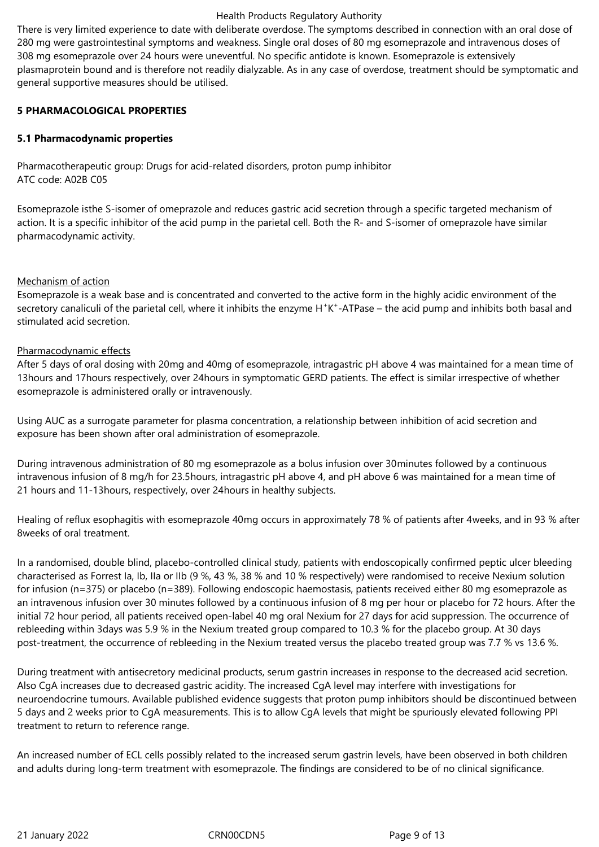There is very limited experience to date with deliberate overdose. The symptoms described in connection with an oral dose of 280 mg were gastrointestinal symptoms and weakness. Single oral doses of 80 mg esomeprazole and intravenous doses of 308 mg esomeprazole over 24 hours were uneventful. No specific antidote is known. Esomeprazole is extensively plasmaprotein bound and is therefore not readily dialyzable. As in any case of overdose, treatment should be symptomatic and general supportive measures should be utilised.

## **5 PHARMACOLOGICAL PROPERTIES**

# **5.1 Pharmacodynamic properties**

Pharmacotherapeutic group: Drugs for acid-related disorders, proton pump inhibitor ATC code: A02B C05

Esomeprazole isthe S-isomer of omeprazole and reduces gastric acid secretion through a specific targeted mechanism of action. It is a specific inhibitor of the acid pump in the parietal cell. Both the R- and S-isomer of omeprazole have similar pharmacodynamic activity.

# Mechanism of action

Esomeprazole is a weak base and is concentrated and converted to the active form in the highly acidic environment of the secretory canaliculi of the parietal cell, where it inhibits the enzyme H<sup>+</sup>K<sup>+</sup>-ATPase – the acid pump and inhibits both basal and stimulated acid secretion.

# Pharmacodynamic effects

After 5 days of oral dosing with 20mg and 40mg of esomeprazole, intragastric pH above 4 was maintained for a mean time of 13hours and 17hours respectively, over 24hours in symptomatic GERD patients. The effect is similar irrespective of whether esomeprazole is administered orally or intravenously.

Using AUC as a surrogate parameter for plasma concentration, a relationship between inhibition of acid secretion and exposure has been shown after oral administration of esomeprazole.

During intravenous administration of 80 mg esomeprazole as a bolus infusion over 30minutes followed by a continuous intravenous infusion of 8 mg/h for 23.5hours, intragastric pH above 4, and pH above 6 was maintained for a mean time of 21 hours and 11-13hours, respectively, over 24hours in healthy subjects.

Healing of reflux esophagitis with esomeprazole 40mg occurs in approximately 78 % of patients after 4weeks, and in 93 % after 8weeks of oral treatment.

In a randomised, double blind, placebo-controlled clinical study, patients with endoscopically confirmed peptic ulcer bleeding characterised as Forrest Ia, Ib, IIa or IIb (9 %, 43 %, 38 % and 10 % respectively) were randomised to receive Nexium solution for infusion (n=375) or placebo (n=389). Following endoscopic haemostasis, patients received either 80 mg esomeprazole as an intravenous infusion over 30 minutes followed by a continuous infusion of 8 mg per hour or placebo for 72 hours. After the initial 72 hour period, all patients received open-label 40 mg oral Nexium for 27 days for acid suppression. The occurrence of rebleeding within 3days was 5.9 % in the Nexium treated group compared to 10.3 % for the placebo group. At 30 days post-treatment, the occurrence of rebleeding in the Nexium treated versus the placebo treated group was 7.7 % vs 13.6 %.

During treatment with antisecretory medicinal products, serum gastrin increases in response to the decreased acid secretion. Also CgA increases due to decreased gastric acidity. The increased CgA level may interfere with investigations for neuroendocrine tumours. Available published evidence suggests that proton pump inhibitors should be discontinued between 5 days and 2 weeks prior to CgA measurements. This is to allow CgA levels that might be spuriously elevated following PPI treatment to return to reference range.

An increased number of ECL cells possibly related to the increased serum gastrin levels, have been observed in both children and adults during long-term treatment with esomeprazole. The findings are considered to be of no clinical significance.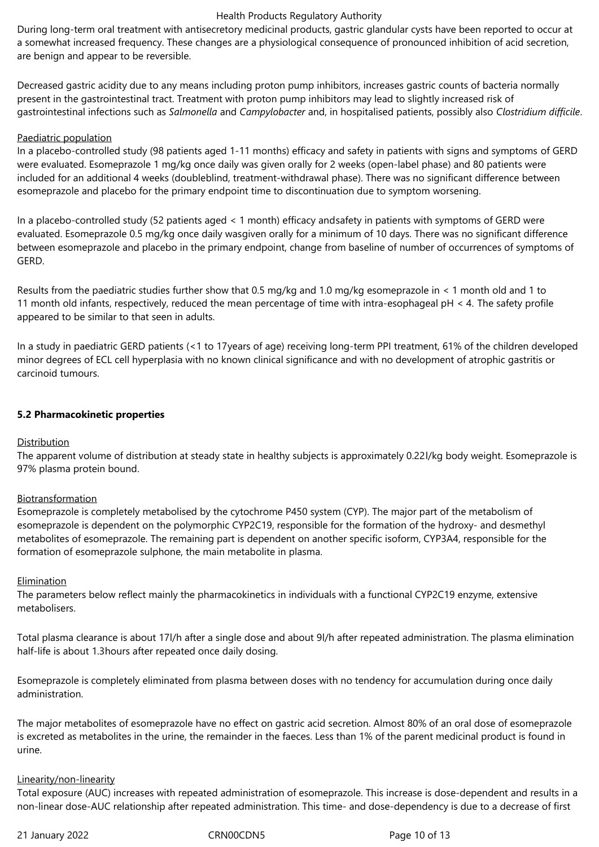During long-term oral treatment with antisecretory medicinal products, gastric glandular cysts have been reported to occur at a somewhat increased frequency. These changes are a physiological consequence of pronounced inhibition of acid secretion, are benign and appear to be reversible.

Decreased gastric acidity due to any means including proton pump inhibitors, increases gastric counts of bacteria normally present in the gastrointestinal tract. Treatment with proton pump inhibitors may lead to slightly increased risk of gastrointestinal infections such as *Salmonella* and *Campylobacter* and, in hospitalised patients, possibly also *Clostridium difficile*.

#### Paediatric population

In a placebo-controlled study (98 patients aged 1-11 months) efficacy and safety in patients with signs and symptoms of GERD were evaluated. Esomeprazole 1 mg/kg once daily was given orally for 2 weeks (open-label phase) and 80 patients were included for an additional 4 weeks (doubleblind, treatment-withdrawal phase). There was no significant difference between esomeprazole and placebo for the primary endpoint time to discontinuation due to symptom worsening.

In a placebo-controlled study (52 patients aged < 1 month) efficacy andsafety in patients with symptoms of GERD were evaluated. Esomeprazole 0.5 mg/kg once daily wasgiven orally for a minimum of 10 days. There was no significant difference between esomeprazole and placebo in the primary endpoint, change from baseline of number of occurrences of symptoms of GERD.

Results from the paediatric studies further show that 0.5 mg/kg and 1.0 mg/kg esomeprazole in < 1 month old and 1 to 11 month old infants, respectively, reduced the mean percentage of time with intra-esophageal pH < 4. The safety profile appeared to be similar to that seen in adults.

In a study in paediatric GERD patients (<1 to 17years of age) receiving long-term PPI treatment, 61% of the children developed minor degrees of ECL cell hyperplasia with no known clinical significance and with no development of atrophic gastritis or carcinoid tumours.

# **5.2 Pharmacokinetic properties**

#### Distribution

The apparent volume of distribution at steady state in healthy subjects is approximately 0.22l/kg body weight. Esomeprazole is 97% plasma protein bound.

#### Biotransformation

Esomeprazole is completely metabolised by the cytochrome P450 system (CYP). The major part of the metabolism of esomeprazole is dependent on the polymorphic CYP2C19, responsible for the formation of the hydroxy- and desmethyl metabolites of esomeprazole. The remaining part is dependent on another specific isoform, CYP3A4, responsible for the formation of esomeprazole sulphone, the main metabolite in plasma.

#### Elimination

The parameters below reflect mainly the pharmacokinetics in individuals with a functional CYP2C19 enzyme, extensive metabolisers.

Total plasma clearance is about 17l/h after a single dose and about 9l/h after repeated administration. The plasma elimination half-life is about 1.3hours after repeated once daily dosing.

Esomeprazole is completely eliminated from plasma between doses with no tendency for accumulation during once daily administration.

The major metabolites of esomeprazole have no effect on gastric acid secretion. Almost 80% of an oral dose of esomeprazole is excreted as metabolites in the urine, the remainder in the faeces. Less than 1% of the parent medicinal product is found in urine.

#### Linearity/non-linearity

Total exposure (AUC) increases with repeated administration of esomeprazole. This increase is dose-dependent and results in a non-linear dose-AUC relationship after repeated administration. This time- and dose-dependency is due to a decrease of first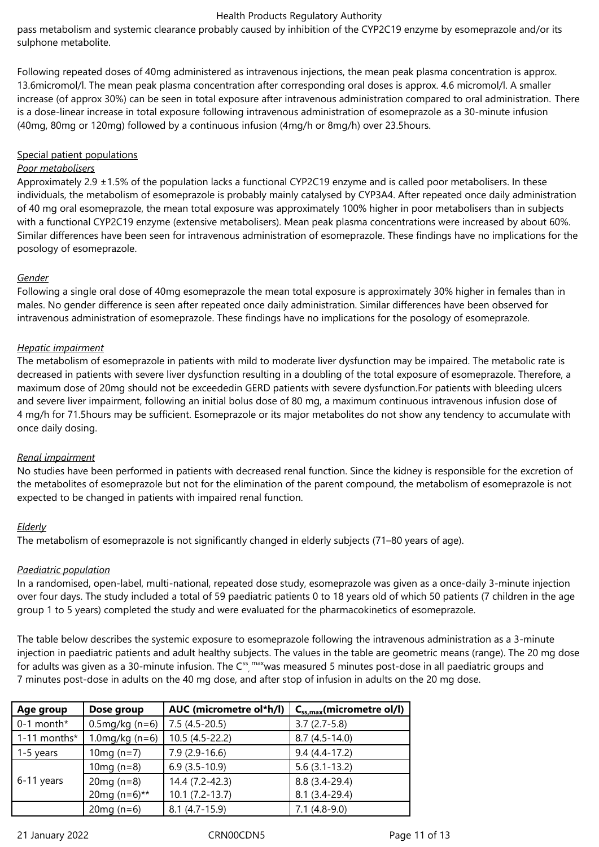pass metabolism and systemic clearance probably caused by inhibition of the CYP2C19 enzyme by esomeprazole and/or its sulphone metabolite.

Following repeated doses of 40mg administered as intravenous injections, the mean peak plasma concentration is approx. 13.6micromol/l. The mean peak plasma concentration after corresponding oral doses is approx. 4.6 micromol/l. A smaller increase (of approx 30%) can be seen in total exposure after intravenous administration compared to oral administration. There is a dose-linear increase in total exposure following intravenous administration of esomeprazole as a 30-minute infusion (40mg, 80mg or 120mg) followed by a continuous infusion (4mg/h or 8mg/h) over 23.5hours.

## Special patient populations

# *Poor metabolisers*

Approximately 2.9  $\pm$ 1.5% of the population lacks a functional CYP2C19 enzyme and is called poor metabolisers. In these individuals, the metabolism of esomeprazole is probably mainly catalysed by CYP3A4. After repeated once daily administration of 40 mg oral esomeprazole, the mean total exposure was approximately 100% higher in poor metabolisers than in subjects with a functional CYP2C19 enzyme (extensive metabolisers). Mean peak plasma concentrations were increased by about 60%. Similar differences have been seen for intravenous administration of esomeprazole. These findings have no implications for the posology of esomeprazole.

# *Gender*

Following a single oral dose of 40mg esomeprazole the mean total exposure is approximately 30% higher in females than in males. No gender difference is seen after repeated once daily administration. Similar differences have been observed for intravenous administration of esomeprazole. These findings have no implications for the posology of esomeprazole.

# *Hepatic impairment*

The metabolism of esomeprazole in patients with mild to moderate liver dysfunction may be impaired. The metabolic rate is decreased in patients with severe liver dysfunction resulting in a doubling of the total exposure of esomeprazole. Therefore, a maximum dose of 20mg should not be exceededin GERD patients with severe dysfunction.For patients with bleeding ulcers and severe liver impairment, following an initial bolus dose of 80 mg, a maximum continuous intravenous infusion dose of 4 mg/h for 71.5hours may be sufficient. Esomeprazole or its major metabolites do not show any tendency to accumulate with once daily dosing.

# *Renal impairment*

No studies have been performed in patients with decreased renal function. Since the kidney is responsible for the excretion of the metabolites of esomeprazole but not for the elimination of the parent compound, the metabolism of esomeprazole is not expected to be changed in patients with impaired renal function.

# *Elderly*

The metabolism of esomeprazole is not significantly changed in elderly subjects (71–80 years of age).

# *Paediatric population*

In a randomised, open-label, multi-national, repeated dose study, esomeprazole was given as a once-daily 3-minute injection over four days. The study included a total of 59 paediatric patients 0 to 18 years old of which 50 patients (7 children in the age group 1 to 5 years) completed the study and were evaluated for the pharmacokinetics of esomeprazole.

The table below describes the systemic exposure to esomeprazole following the intravenous administration as a 3-minute injection in paediatric patients and adult healthy subjects. The values in the table are geometric means (range). The 20 mg dose for adults was given as a 30-minute infusion. The C<sup>ss</sup>, maxwas measured 5 minutes post-dose in all paediatric groups and 7 minutes post‑dose in adults on the 40 mg dose, and after stop of infusion in adults on the 20 mg dose.

| Dose group<br>Age group |                            | AUC (micrometre ol*h/l) | $C_{ss,max}$ (micrometre ol/l) |  |
|-------------------------|----------------------------|-------------------------|--------------------------------|--|
| $0-1$ month*            | $0.5 \,\text{mg/kg}$ (n=6) | $7.5(4.5-20.5)$         | $3.7(2.7-5.8)$                 |  |
| 1-11 months*            | 1.0 mg/kg $(n=6)$          | $10.5(4.5-22.2)$        | $8.7(4.5-14.0)$                |  |
| 1-5 years               | 10 $mg(n=7)$               | $7.9(2.9-16.6)$         | $9.4(4.4-17.2)$                |  |
| 6-11 years              | 10 $mg(n=8)$               | $6.9(3.5-10.9)$         | $5.6(3.1-13.2)$                |  |
|                         | $20mg(n=8)$                | 14.4 (7.2-42.3)         | $8.8(3.4-29.4)$                |  |
|                         | 20mg $(n=6)$ **            | $10.1 (7.2 - 13.7)$     | $8.1(3.4-29.4)$                |  |
|                         | $20mg(n=6)$                | $8.1 (4.7 - 15.9)$      | $7.1(4.8-9.0)$                 |  |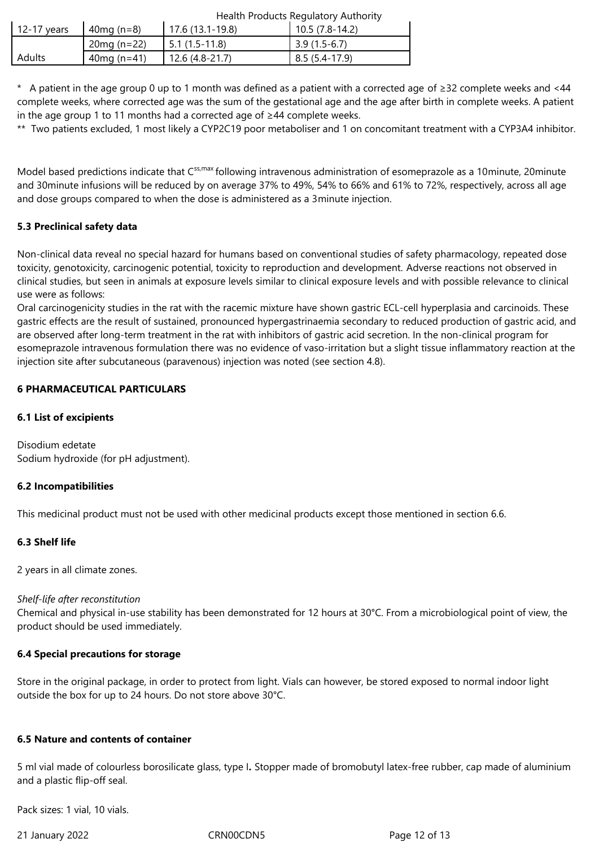|               |              | Health Products Regulatory Authority |                 |  |
|---------------|--------------|--------------------------------------|-----------------|--|
| . 12-17 years | $40mg(n=8)$  | 17.6 (13.1-19.8)                     | 10.5 (7.8-14.2) |  |
|               | $20mg(n=22)$ | $5.1(1.5-11.8)$                      | $3.9(1.5-6.7)$  |  |
| <b>Adults</b> | $40mg(n=41)$ | $12.6(4.8-21.7)$                     | 8.5 (5.4-17.9)  |  |

\* A patient in the age group 0 up to 1 month was defined as a patient with a corrected age of ≥32 complete weeks and <44 complete weeks, where corrected age was the sum of the gestational age and the age after birth in complete weeks. A patient in the age group 1 to 11 months had a corrected age of ≥44 complete weeks.

\*\* Two patients excluded, 1 most likely a CYP2C19 poor metaboliser and 1 on concomitant treatment with a CYP3A4 inhibitor.

Model based predictions indicate that C<sup>ss,max</sup> following intravenous administration of esomeprazole as a 10minute, 20minute and 30minute infusions will be reduced by on average 37% to 49%, 54% to 66% and 61% to 72%, respectively, across all age and dose groups compared to when the dose is administered as a 3minute injection.

# **5.3 Preclinical safety data**

Non-clinical data reveal no special hazard for humans based on conventional studies of safety pharmacology, repeated dose toxicity, genotoxicity, carcinogenic potential, toxicity to reproduction and development. Adverse reactions not observed in clinical studies, but seen in animals at exposure levels similar to clinical exposure levels and with possible relevance to clinical use were as follows:

Oral carcinogenicity studies in the rat with the racemic mixture have shown gastric ECL-cell hyperplasia and carcinoids. These gastric effects are the result of sustained, pronounced hypergastrinaemia secondary to reduced production of gastric acid, and are observed after long-term treatment in the rat with inhibitors of gastric acid secretion. In the non-clinical program for esomeprazole intravenous formulation there was no evidence of vaso-irritation but a slight tissue inflammatory reaction at the injection site after subcutaneous (paravenous) injection was noted (see section 4.8).

# **6 PHARMACEUTICAL PARTICULARS**

# **6.1 List of excipients**

Disodium edetate Sodium hydroxide (for pH adjustment).

#### **6.2 Incompatibilities**

This medicinal product must not be used with other medicinal products except those mentioned in section 6.6.

#### **6.3 Shelf life**

2 years in all climate zones.

#### *Shelf-life after reconstitution*

Chemical and physical in-use stability has been demonstrated for 12 hours at 30°C. From a microbiological point of view, the product should be used immediately.

#### **6.4 Special precautions for storage**

Store in the original package, in order to protect from light. Vials can however, be stored exposed to normal indoor light outside the box for up to 24 hours. Do not store above 30°C.

#### **6.5 Nature and contents of container**

5 ml vial made of colourless borosilicate glass, type I*.* Stopper made of bromobutyl latex-free rubber, cap made of aluminium and a plastic flip-off seal.

Pack sizes: 1 vial, 10 vials.

21 January 2022 CRN00CDN5 Page 12 of 13